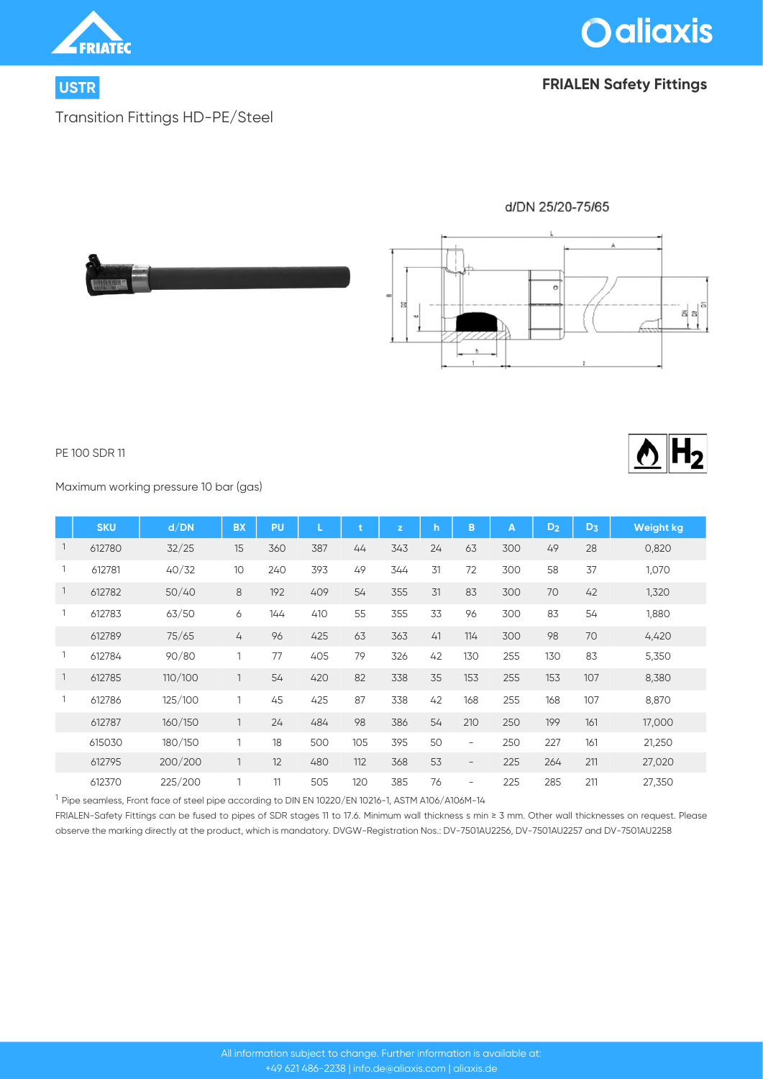



## **USTR FRIALEN Safety Fittings**

Transition Fittings HD-PE/Steel



#### PE 100 SDR 11

Maximum working pressure 10 bar (gas)

|                | <b>SKU</b> | d/DN    | <b>BX</b>       | PU  | L   |     | $\mathbf{z}$ | $\mathsf{h}$ | B                        | $\overline{\mathsf{A}}$ | D <sub>2</sub> | $D_3$ | Weight kg |
|----------------|------------|---------|-----------------|-----|-----|-----|--------------|--------------|--------------------------|-------------------------|----------------|-------|-----------|
| $\overline{1}$ | 612780     | 32/25   | 15              | 360 | 387 | 44  | 343          | 24           | 63                       | 300                     | 49             | 28    | 0,820     |
|                | 612781     | 40/32   | 10 <sup>°</sup> | 240 | 393 | 49  | 344          | 31           | 72                       | 300                     | 58             | 37    | 1,070     |
| $\mathbf{1}$   | 612782     | 50/40   | 8               | 192 | 409 | 54  | 355          | 31           | 83                       | 300                     | 70             | 42    | 1,320     |
|                | 612783     | 63/50   | 6               | 144 | 410 | 55  | 355          | 33           | 96                       | 300                     | 83             | 54    | 1,880     |
|                | 612789     | 75/65   | 4               | 96  | 425 | 63  | 363          | 41           | 114                      | 300                     | 98             | 70    | 4,420     |
|                | 612784     | 90/80   | 1               | 77  | 405 | 79  | 326          | 42           | 130                      | 255                     | 130            | 83    | 5,350     |
| $\mathbf{1}$   | 612785     | 110/100 | $\mathbf{1}$    | 54  | 420 | 82  | 338          | 35           | 153                      | 255                     | 153            | 107   | 8,380     |
|                | 612786     | 125/100 |                 | 45  | 425 | 87  | 338          | 42           | 168                      | 255                     | 168            | 107   | 8,870     |
|                | 612787     | 160/150 | $\mathbf{1}$    | 24  | 484 | 98  | 386          | 54           | 210                      | 250                     | 199            | 161   | 17,000    |
|                | 615030     | 180/150 | 1               | 18  | 500 | 105 | 395          | 50           | $\overline{\phantom{a}}$ | 250                     | 227            | 161   | 21,250    |
|                | 612795     | 200/200 | 1               | 12  | 480 | 112 | 368          | 53           | $\overline{\phantom{a}}$ | 225                     | 264            | 211   | 27,020    |
|                | 612370     | 225/200 |                 | 11  | 505 | 120 | 385          | 76           | $\overline{\phantom{a}}$ | 225                     | 285            | 211   | 27,350    |

<sup>1</sup> Pipe seamless, Front face of steel pipe according to DIN EN 10220/EN 10216-1, ASTM A106/A106M-14

FRIALEN-Safety Fittings can be fused to pipes of SDR stages 11 to 17.6. Minimum wall thickness s min ≥ 3 mm. Other wall thicknesses on request. Please observe the marking directly at the product, which is mandatory. DVGW-Registration Nos.: DV-7501AU2256, DV-7501AU2257 and DV-7501AU2258

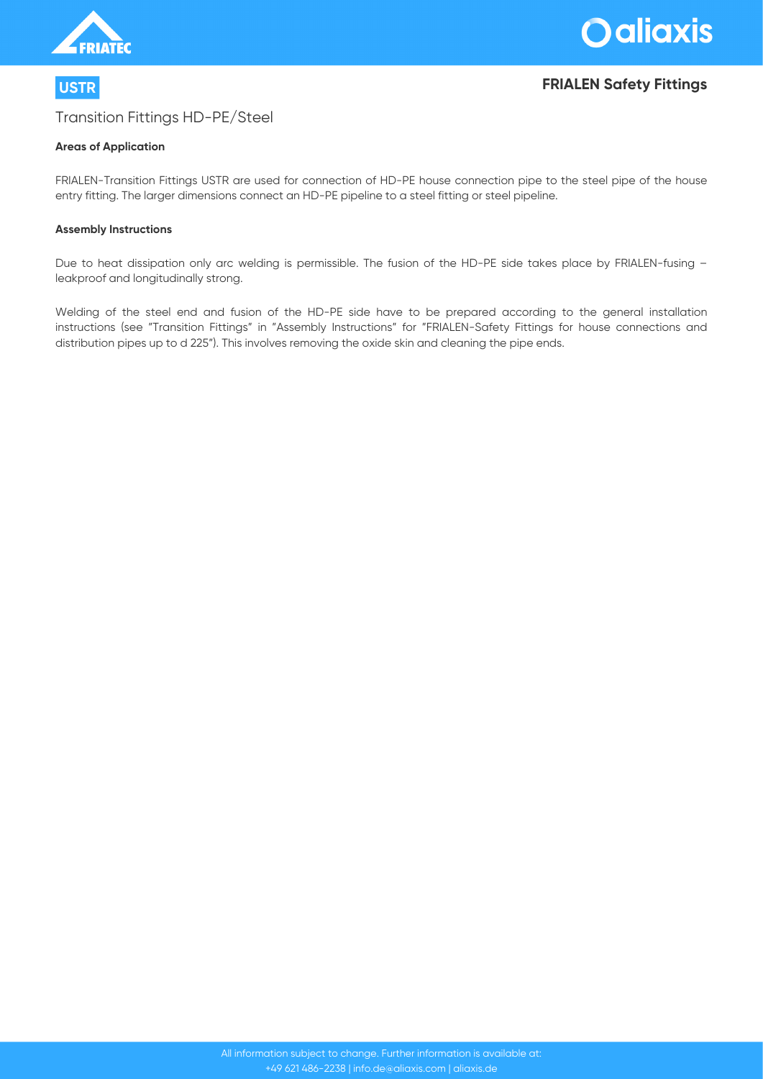

# **USTR FRIALEN Safety Fittings**

### Transition Fittings HD-PE/Steel

#### **Areas of Application**

FRIALEN-Transition Fittings USTR are used for connection of HD-PE house connection pipe to the steel pipe of the house entry fitting. The larger dimensions connect an HD-PE pipeline to a steel fitting or steel pipeline.

#### **Assembly Instructions**

Due to heat dissipation only arc welding is permissible. The fusion of the HD-PE side takes place by FRIALEN-fusing – leakproof and longitudinally strong.

Welding of the steel end and fusion of the HD-PE side have to be prepared according to the general installation instructions (see "Transition Fittings" in "Assembly Instructions" for "FRIALEN-Safety Fittings for house connections and distribution pipes up to d 225"). This involves removing the oxide skin and cleaning the pipe ends.